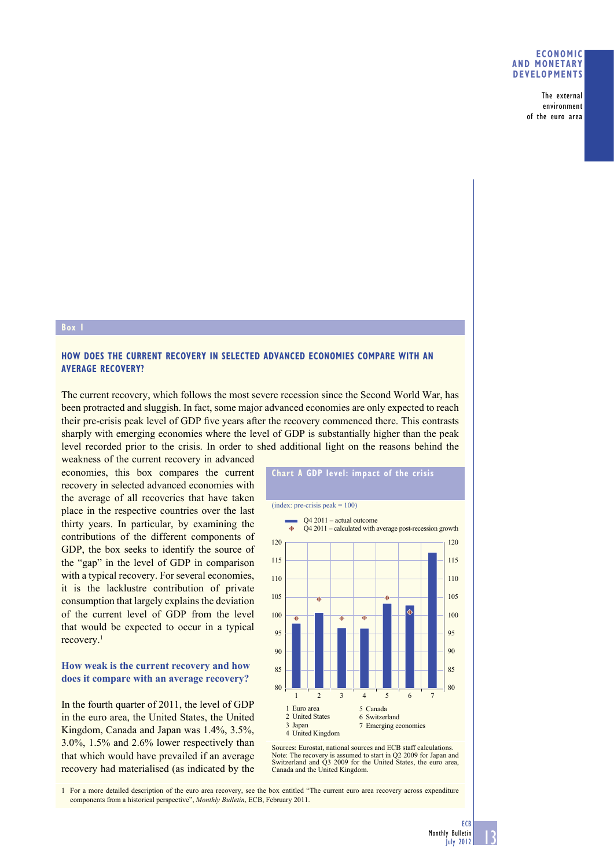#### **ECONOMIC AND MONETARY DEVELOPMENTS**

The external environment of the euro area

#### **Box 1**

## **HOW DOES THE CURRENT RECOVERY IN SELECTED ADVANCED ECONOMIES COMPARE WITH AN AVERAGE RECOVERY?**

The current recovery, which follows the most severe recession since the Second World War, has been protracted and sluggish. In fact, some major advanced economies are only expected to reach their pre-crisis peak level of GDP five years after the recovery commenced there. This contrasts sharply with emerging economies where the level of GDP is substantially higher than the peak level recorded prior to the crisis. In order to shed additional light on the reasons behind the

weakness of the current recovery in advanced economies, this box compares the current recovery in selected advanced economies with the average of all recoveries that have taken place in the respective countries over the last thirty years. In particular, by examining the contributions of the different components of GDP, the box seeks to identify the source of the "gap" in the level of GDP in comparison with a typical recovery. For several economies, it is the lacklustre contribution of private consumption that largely explains the deviation of the current level of GDP from the level that would be expected to occur in a typical recovery.1

## **How weak is the current recovery and how does it compare with an average recovery?**

In the fourth quarter of 2011, the level of GDP in the euro area, the United States, the United Kingdom, Canada and Japan was 1.4%, 3.5%, 3.0%, 1.5% and 2.6% lower respectively than that which would have prevailed if an average recovery had materialised (as indicated by the



Sources: Eurostat, national sources and ECB staff calculations. Note: The recovery is assumed to start in Q2 2009 for Japan and Switzerland and Q3 2009 for the United States, the euro area, Canada and the United Kingdom.

1 For a more detailed description of the euro area recovery, see the box entitled "The current euro area recovery across expenditure components from a historical perspective", *Monthly Bulletin*, ECB, February 2011.



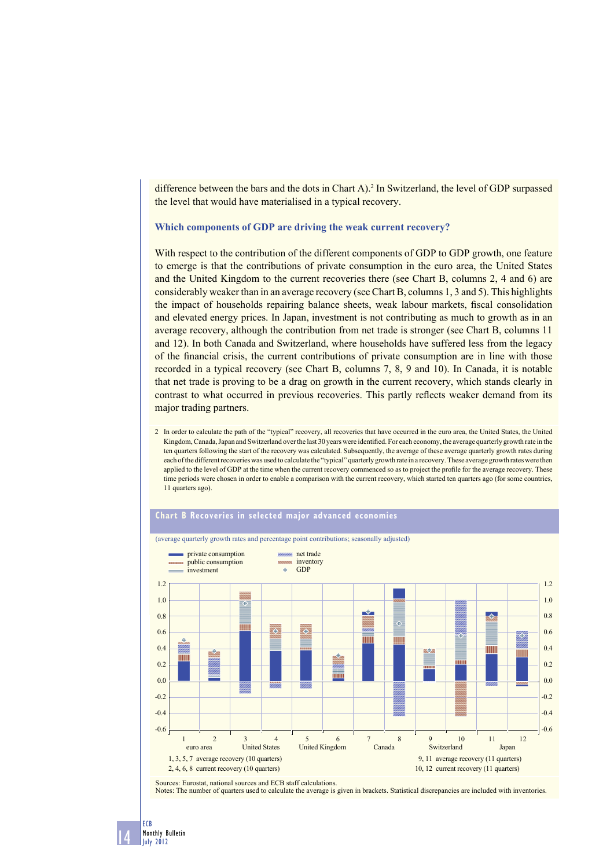difference between the bars and the dots in Chart  $A$ ).<sup>2</sup> In Switzerland, the level of GDP surpassed the level that would have materialised in a typical recovery.

**Which components of GDP are driving the weak current recovery?**

With respect to the contribution of the different components of GDP to GDP growth, one feature to emerge is that the contributions of private consumption in the euro area, the United States and the United Kingdom to the current recoveries there (see Chart B, columns 2, 4 and 6) are considerably weaker than in an average recovery (see Chart B, columns 1, 3 and 5). This highlights the impact of households repairing balance sheets, weak labour markets, fiscal consolidation and elevated energy prices. In Japan, investment is not contributing as much to growth as in an average recovery, although the contribution from net trade is stronger (see Chart B, columns 11 and 12). In both Canada and Switzerland, where households have suffered less from the legacy of the financial crisis, the current contributions of private consumption are in line with those recorded in a typical recovery (see Chart B, columns 7, 8, 9 and 10). In Canada, it is notable that net trade is proving to be a drag on growth in the current recovery, which stands clearly in contrast to what occurred in previous recoveries. This partly reflects weaker demand from its major trading partners.

2 In order to calculate the path of the "typical" recovery, all recoveries that have occurred in the euro area, the United States, the United Kingdom, Canada, Japan and Switzerland over the last 30 years were identified. For each economy, the average quarterly growth rate in the ten quarters following the start of the recovery was calculated. Subsequently, the average of these average quarterly growth rates during each of the different recoveries was used to calculate the "typical" quarterly growth rate in a recovery. These average growth rates were then applied to the level of GDP at the time when the current recovery commenced so as to project the profile for the average recovery. These time periods were chosen in order to enable a comparison with the current recovery, which started ten quarters ago (for some countries, 11 quarters ago).



Sources: Eurostat, national sources and ECB staff calculations. Notes: The number of quarters used to calculate the average is given in brackets. Statistical discrepancies are included with inventories.

14